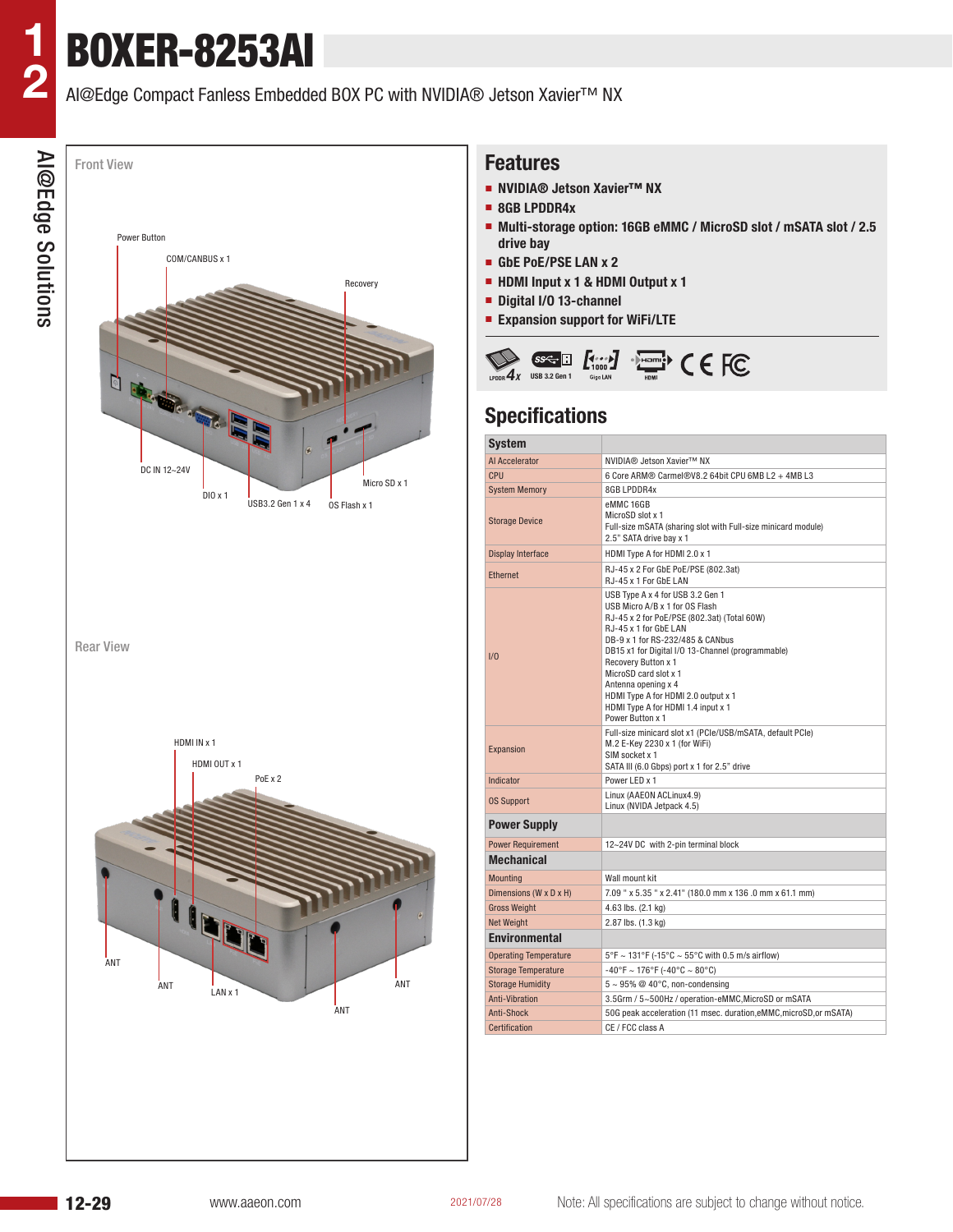**1**

**2**

# BOXER-8253AI

## AI@Edge Compact Fanless Embedded BOX PC with NVIDIA® Jetson Xavier™ NX



#### **Features**

- **NVIDIA® Jetson Xavier™ NX**
- **8GB LPDDR4x**
- Multi-storage option: 16GB eMMC / MicroSD slot / mSATA slot / 2.5 **drive bay**
- **GbE PoE/PSE LAN x 2**
- **HDMI Input x 1 & HDMI Output x 1**
- **Digital I/O 13-channel**
- **Expansion support for WiFi/LTE**



# **Specifications**

| <b>System</b>                |                                                                                                                                                                                                                                                                                                                                                                                                             |  |  |  |  |  |  |
|------------------------------|-------------------------------------------------------------------------------------------------------------------------------------------------------------------------------------------------------------------------------------------------------------------------------------------------------------------------------------------------------------------------------------------------------------|--|--|--|--|--|--|
| Al Accelerator               | NVIDIA® Jetson Xavier™ NX                                                                                                                                                                                                                                                                                                                                                                                   |  |  |  |  |  |  |
| CPU                          | 6 Core ARM® Carmel®V8.2 64bit CPU 6MB L2 + 4MB L3                                                                                                                                                                                                                                                                                                                                                           |  |  |  |  |  |  |
| <b>System Memory</b>         | 8GB LPDDR4x                                                                                                                                                                                                                                                                                                                                                                                                 |  |  |  |  |  |  |
| <b>Storage Device</b>        | eMMC 16GB<br>MicroSD slot x 1<br>Full-size mSATA (sharing slot with Full-size minicard module)<br>2.5" SATA drive bay x 1                                                                                                                                                                                                                                                                                   |  |  |  |  |  |  |
| <b>Display Interface</b>     | HDMI Type A for HDMI 2.0 x 1                                                                                                                                                                                                                                                                                                                                                                                |  |  |  |  |  |  |
| <b>Ethernet</b>              | RJ-45 x 2 For GbE PoE/PSE (802.3at)<br>RJ-45 x 1 For GbE LAN                                                                                                                                                                                                                                                                                                                                                |  |  |  |  |  |  |
| 1/0                          | USB Type A x 4 for USB 3.2 Gen 1<br>USB Micro A/B x 1 for OS Flash<br>RJ-45 x 2 for PoE/PSE (802.3at) (Total 60W)<br>RJ-45 x 1 for GbE LAN<br>DB-9 x 1 for RS-232/485 & CANbus<br>DB15 x1 for Digital I/O 13-Channel (programmable)<br>Recovery Button x 1<br>MicroSD card slot x 1<br>Antenna opening x 4<br>HDMI Type A for HDMI 2.0 output x 1<br>HDMI Type A for HDMI 1.4 input x 1<br>Power Button x 1 |  |  |  |  |  |  |
| <b>Expansion</b>             | Full-size minicard slot x1 (PCIe/USB/mSATA, default PCIe)<br>M.2 E-Key 2230 x 1 (for WiFi)<br>SIM socket x 1<br>SATA III (6.0 Gbps) port x 1 for 2.5" drive                                                                                                                                                                                                                                                 |  |  |  |  |  |  |
| Indicator                    | Power LED x 1                                                                                                                                                                                                                                                                                                                                                                                               |  |  |  |  |  |  |
| <b>OS Support</b>            | Linux (AAEON ACLinux4.9)<br>Linux (NVIDA Jetpack 4.5)                                                                                                                                                                                                                                                                                                                                                       |  |  |  |  |  |  |
| <b>Power Supply</b>          |                                                                                                                                                                                                                                                                                                                                                                                                             |  |  |  |  |  |  |
| <b>Power Requirement</b>     | 12~24V DC with 2-pin terminal block                                                                                                                                                                                                                                                                                                                                                                         |  |  |  |  |  |  |
| <b>Mechanical</b>            |                                                                                                                                                                                                                                                                                                                                                                                                             |  |  |  |  |  |  |
| <b>Mounting</b>              | Wall mount kit                                                                                                                                                                                                                                                                                                                                                                                              |  |  |  |  |  |  |
| Dimensions (W x D x H)       | 7.09 " x 5.35 " x 2.41" (180.0 mm x 136 .0 mm x 61.1 mm)                                                                                                                                                                                                                                                                                                                                                    |  |  |  |  |  |  |
| <b>Gross Weight</b>          | 4.63 lbs. (2.1 kg)                                                                                                                                                                                                                                                                                                                                                                                          |  |  |  |  |  |  |
| <b>Net Weight</b>            | 2.87 lbs. (1.3 kg)                                                                                                                                                                                                                                                                                                                                                                                          |  |  |  |  |  |  |
| <b>Environmental</b>         |                                                                                                                                                                                                                                                                                                                                                                                                             |  |  |  |  |  |  |
| <b>Operating Temperature</b> | $5^{\circ}$ F ~ 131°F (-15°C ~ 55°C with 0.5 m/s airflow)                                                                                                                                                                                                                                                                                                                                                   |  |  |  |  |  |  |
| <b>Storage Temperature</b>   | $-40^{\circ}$ F ~ 176°F (-40°C ~ 80°C)                                                                                                                                                                                                                                                                                                                                                                      |  |  |  |  |  |  |
| <b>Storage Humidity</b>      | $5 \sim 95\%$ @ 40°C, non-condensing                                                                                                                                                                                                                                                                                                                                                                        |  |  |  |  |  |  |
| Anti-Vibration               | 3.5Grm / 5~500Hz / operation-eMMC, MicroSD or mSATA                                                                                                                                                                                                                                                                                                                                                         |  |  |  |  |  |  |
| Anti-Shock                   | 50G peak acceleration (11 msec. duration, eMMC, microSD, or mSATA)                                                                                                                                                                                                                                                                                                                                          |  |  |  |  |  |  |
| Certification                | CE / FCC class A                                                                                                                                                                                                                                                                                                                                                                                            |  |  |  |  |  |  |